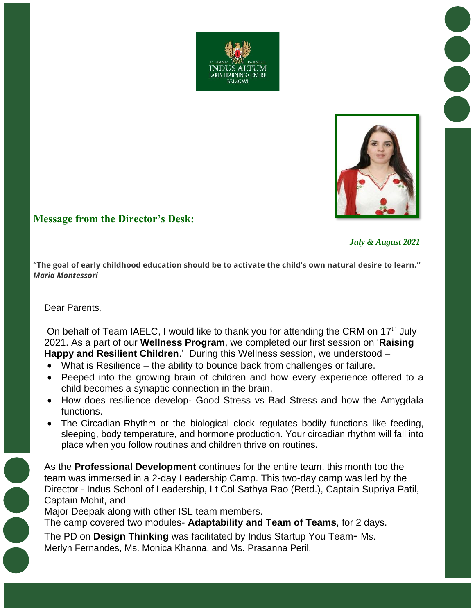



# **Message from the Director's Desk:**

 *July & August 2021*

**"The goal of early childhood education should be to activate the child's own natural desire to learn."**  *Maria Montessori*

#### Dear Parents*,*

On behalf of Team IAELC, I would like to thank you for attending the CRM on  $17<sup>th</sup>$  July 2021. As a part of our **Wellness Program**, we completed our first session on '**Raising Happy and Resilient Children**.' During this Wellness session, we understood –

- What is Resilience the ability to bounce back from challenges or failure.
- Peeped into the growing brain of children and how every experience offered to a child becomes a synaptic connection in the brain.
- How does resilience develop- Good Stress vs Bad Stress and how the Amygdala functions.
- The Circadian Rhythm or the biological clock regulates bodily functions like feeding, sleeping, body temperature, and hormone production. Your circadian rhythm will fall into place when you follow routines and children thrive on routines.

As the **Professional Development** continues for the entire team, this month too the team was immersed in a 2-day Leadership Camp. This two-day camp was led by the Director - Indus School of Leadership, Lt Col Sathya Rao (Retd.), Captain Supriya Patil, Captain Mohit, and

Major Deepak along with other ISL team members.

The camp covered two modules- **Adaptability and Team of Teams**, for 2 days.

The PD on **Design Thinking** was facilitated by Indus Startup You Team- Ms. Merlyn Fernandes, Ms. Monica Khanna, and Ms. Prasanna Peril.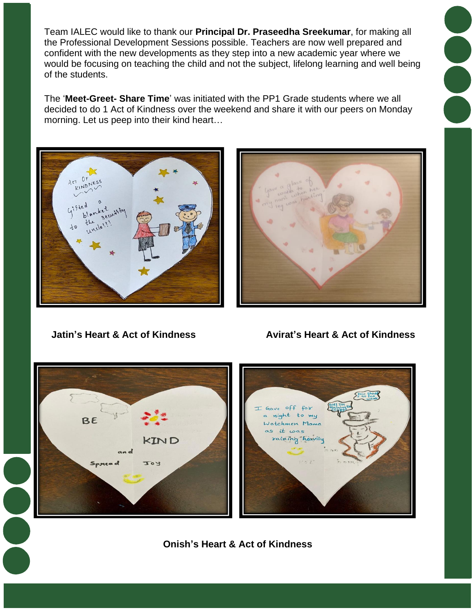Team IALEC would like to thank our **Principal Dr. Praseedha Sreekumar**, for making all the Professional Development Sessions possible. Teachers are now well prepared and confident with the new developments as they step into a new academic year where we would be focusing on teaching the child and not the subject, lifelong learning and well being of the students.

The '**Meet-Greet- Share Time**' was initiated with the PP1 Grade students where we all decided to do 1 Act of Kindness over the weekend and share it with our peers on Monday morning. Let us peep into their kind heart…





 **Jatin's Heart & Act of Kindness Avirat's Heart & Act of Kindness** 



**Onish's Heart & Act of Kindness**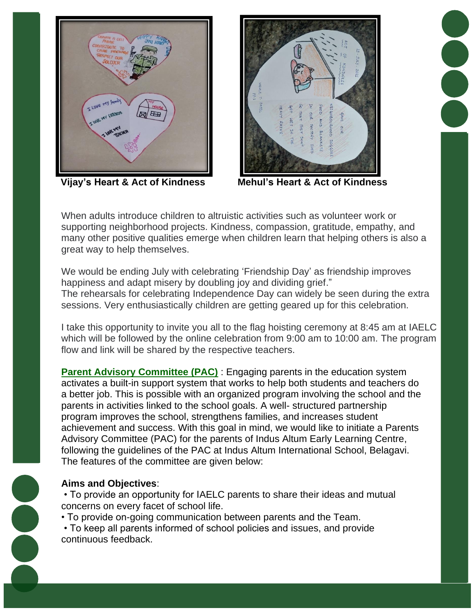



**Vijay's Heart & Act of Kindness Mehul's Heart & Act of Kindness**

When adults introduce children to altruistic activities such as volunteer work or supporting neighborhood projects. Kindness, compassion, gratitude, empathy, and many other positive qualities emerge when children learn that helping others is also a great way to help themselves.

We would be ending July with celebrating 'Friendship Day' as friendship improves happiness and adapt misery by doubling joy and dividing grief." The rehearsals for celebrating Independence Day can widely be seen during the extra sessions. Very enthusiastically children are getting geared up for this celebration.

I take this opportunity to invite you all to the flag hoisting ceremony at 8:45 am at IAELC which will be followed by the online celebration from 9:00 am to 10:00 am. The program flow and link will be shared by the respective teachers.

**Parent Advisory Committee (PAC)** : Engaging parents in the education system activates a built-in support system that works to help both students and teachers do a better job. This is possible with an organized program involving the school and the parents in activities linked to the school goals. A well- structured partnership program improves the school, strengthens families, and increases student achievement and success. With this goal in mind, we would like to initiate a Parents Advisory Committee (PAC) for the parents of Indus Altum Early Learning Centre, following the guidelines of the PAC at Indus Altum International School, Belagavi. The features of the committee are given below:

## **Aims and Objectives**:

• To provide an opportunity for IAELC parents to share their ideas and mutual concerns on every facet of school life.

• To provide on-going communication between parents and the Team.

• To keep all parents informed of school policies and issues, and provide continuous feedback.